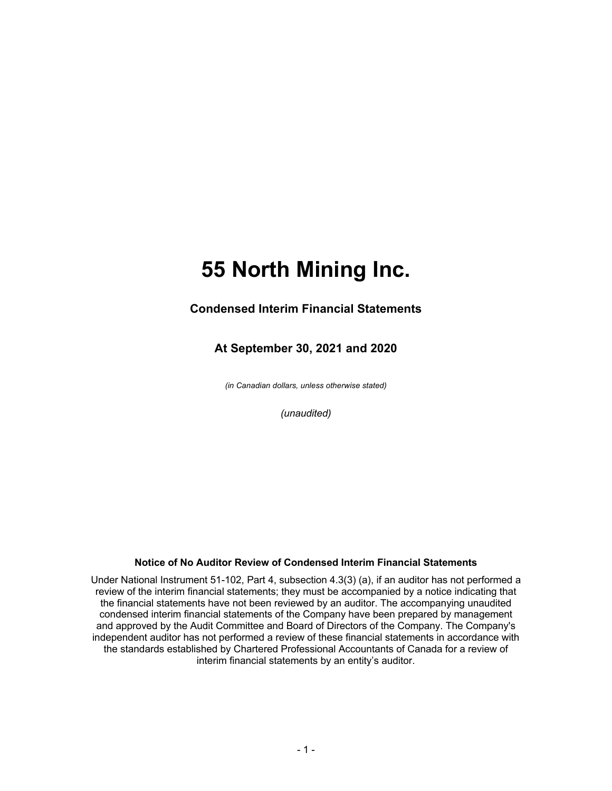# **55 North Mining Inc.**

### **Condensed Interim Financial Statements**

### **At September 30, 2021 and 2020**

*(in Canadian dollars, unless otherwise stated)*

*(unaudited)*

#### **Notice of No Auditor Review of Condensed Interim Financial Statements**

Under National Instrument 51-102, Part 4, subsection 4.3(3) (a), if an auditor has not performed a review of the interim financial statements; they must be accompanied by a notice indicating that the financial statements have not been reviewed by an auditor. The accompanying unaudited condensed interim financial statements of the Company have been prepared by management and approved by the Audit Committee and Board of Directors of the Company. The Company's independent auditor has not performed a review of these financial statements in accordance with the standards established by Chartered Professional Accountants of Canada for a review of interim financial statements by an entity's auditor.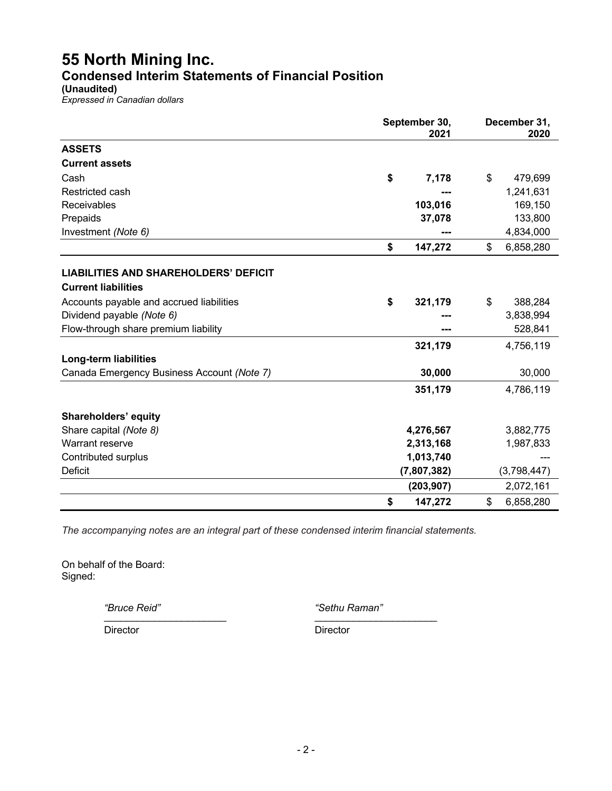## **55 North Mining Inc. Condensed Interim Statements of Financial Position**

**(Unaudited)**

*Expressed in Canadian dollars*

|                                              | September 30,<br>2021 |             |              | December 31,<br>2020 |  |
|----------------------------------------------|-----------------------|-------------|--------------|----------------------|--|
| <b>ASSETS</b>                                |                       |             |              |                      |  |
| <b>Current assets</b>                        |                       |             |              |                      |  |
| Cash                                         | \$                    | 7,178       | \$           | 479,699              |  |
| Restricted cash                              |                       |             |              | 1,241,631            |  |
| Receivables                                  |                       | 103,016     |              | 169,150              |  |
| Prepaids                                     |                       | 37,078      |              | 133,800              |  |
| Investment (Note 6)                          |                       |             |              | 4,834,000            |  |
|                                              | \$                    | 147,272     | $\mathbb{S}$ | 6,858,280            |  |
| <b>LIABILITIES AND SHAREHOLDERS' DEFICIT</b> |                       |             |              |                      |  |
| <b>Current liabilities</b>                   |                       |             |              |                      |  |
| Accounts payable and accrued liabilities     | \$                    | 321,179     | \$           | 388,284              |  |
| Dividend payable (Note 6)                    |                       |             |              | 3,838,994            |  |
| Flow-through share premium liability         |                       |             |              | 528,841              |  |
|                                              |                       | 321,179     |              | 4,756,119            |  |
| <b>Long-term liabilities</b>                 |                       |             |              |                      |  |
| Canada Emergency Business Account (Note 7)   |                       | 30,000      |              | 30,000               |  |
|                                              |                       |             |              |                      |  |
|                                              |                       | 351,179     |              | 4,786,119            |  |
| <b>Shareholders' equity</b>                  |                       |             |              |                      |  |
| Share capital (Note 8)                       |                       | 4,276,567   |              | 3,882,775            |  |
| Warrant reserve                              |                       | 2,313,168   |              | 1,987,833            |  |
| Contributed surplus                          |                       | 1,013,740   |              |                      |  |
| <b>Deficit</b>                               |                       | (7,807,382) |              | (3,798,447)          |  |
|                                              |                       | (203, 907)  |              | 2,072,161            |  |
|                                              | \$                    | 147,272     | \$           | 6,858,280            |  |

*The accompanying notes are an integral part of these condensed interim financial statements.*

On behalf of the Board: Signed:

*"Bruce Reid" "Sethu Raman"* \_\_\_\_\_\_\_\_\_\_\_\_\_\_\_\_\_\_\_\_\_\_ \_\_\_\_\_\_\_\_\_\_\_\_\_\_\_\_\_\_\_\_\_\_

Director Director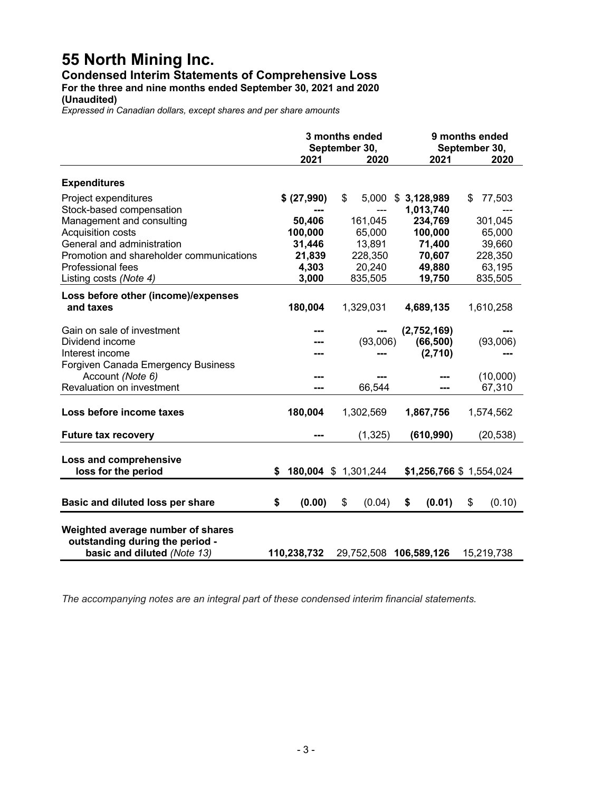## **55 North Mining Inc.**

## **Condensed Interim Statements of Comprehensive Loss**

**For the three and nine months ended September 30, 2021 and 2020**

**(Unaudited)**

*Expressed in Canadian dollars, except shares and per share amounts*

|                                                                                                     | 3 months ended<br>September 30,<br>2021<br>2020 |                      | 9 months ended<br>September 30,<br>2021 |                         | 2020 |            |
|-----------------------------------------------------------------------------------------------------|-------------------------------------------------|----------------------|-----------------------------------------|-------------------------|------|------------|
| <b>Expenditures</b>                                                                                 |                                                 |                      |                                         |                         |      |            |
| Project expenditures                                                                                |                                                 | \$ (27,990)          | \$<br>5,000                             | \$3,128,989             | \$   | 77,503     |
| Stock-based compensation                                                                            |                                                 |                      | ---                                     | 1,013,740               |      |            |
| Management and consulting                                                                           |                                                 | 50,406               | 161,045                                 | 234,769                 |      | 301,045    |
| <b>Acquisition costs</b>                                                                            |                                                 | 100,000              | 65,000                                  | 100,000                 |      | 65,000     |
| General and administration                                                                          |                                                 | 31,446               | 13,891                                  | 71,400                  |      | 39,660     |
| Promotion and shareholder communications                                                            |                                                 | 21,839               | 228,350                                 | 70,607                  |      | 228,350    |
| <b>Professional fees</b>                                                                            |                                                 | 4,303                | 20,240                                  | 49,880                  |      | 63,195     |
| Listing costs (Note 4)                                                                              |                                                 | 3,000                | 835,505                                 | 19,750                  |      | 835,505    |
|                                                                                                     |                                                 |                      |                                         |                         |      |            |
| Loss before other (income)/expenses<br>and taxes                                                    |                                                 | 180,004              | 1,329,031                               | 4,689,135               |      | 1,610,258  |
| Gain on sale of investment                                                                          |                                                 |                      |                                         | (2,752,169)             |      |            |
| Dividend income                                                                                     |                                                 |                      | (93,006)                                | (66, 500)               |      | (93,006)   |
| Interest income                                                                                     |                                                 |                      |                                         | (2,710)                 |      |            |
| Forgiven Canada Emergency Business                                                                  |                                                 |                      |                                         |                         |      |            |
| Account (Note 6)                                                                                    |                                                 |                      |                                         |                         |      | (10,000)   |
| Revaluation on investment                                                                           |                                                 |                      | 66,544                                  |                         |      | 67,310     |
| Loss before income taxes                                                                            |                                                 | 180,004              | 1,302,569                               | 1,867,756               |      | 1,574,562  |
| <b>Future tax recovery</b>                                                                          |                                                 |                      | (1, 325)                                | (610, 990)              |      | (20, 538)  |
| Loss and comprehensive<br>loss for the period                                                       | \$                                              | 180,004 \$ 1,301,244 |                                         | \$1,256,766 \$1,554,024 |      |            |
|                                                                                                     |                                                 |                      |                                         |                         |      |            |
| Basic and diluted loss per share                                                                    | \$                                              | (0.00)               | \$<br>(0.04)                            | \$<br>(0.01)            | \$   | (0.10)     |
| Weighted average number of shares<br>outstanding during the period -<br>basic and diluted (Note 13) |                                                 | 110,238,732          | 29,752,508                              | 106,589,126             |      | 15,219,738 |

*The accompanying notes are an integral part of these condensed interim financial statements.*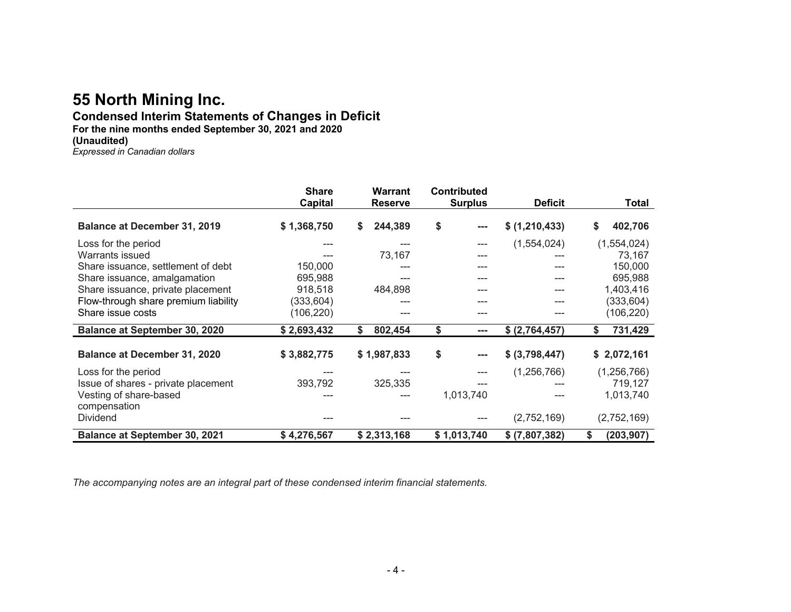## **55 North Mining Inc.**

#### **Condensed Interim Statements of Changes in Deficit For the nine months ended September 30, 2021 and 2020 (Unaudited)**

*Expressed in Canadian dollars*

|                                        | <b>Share</b>   | <b>Warrant</b> | <b>Contributed</b>         |                |                 |
|----------------------------------------|----------------|----------------|----------------------------|----------------|-----------------|
|                                        | <b>Capital</b> | <b>Reserve</b> | <b>Surplus</b>             | <b>Deficit</b> | Total           |
| <b>Balance at December 31, 2019</b>    | \$1,368,750    | 244,389<br>\$  | \$<br>$\sim$ $\sim$ $\sim$ | \$ (1,210,433) | \$<br>402,706   |
| Loss for the period                    |                |                | ---                        | (1,554,024)    | (1, 554, 024)   |
| Warrants issued                        |                | 73,167         | ---                        |                | 73,167          |
| Share issuance, settlement of debt     | 150,000        |                |                            |                | 150,000         |
| Share issuance, amalgamation           | 695,988        |                |                            | ---            | 695,988         |
| Share issuance, private placement      | 918,518        | 484,898        | ---                        | ---            | 1,403,416       |
| Flow-through share premium liability   | (333,604)      |                |                            | ---            | (333, 604)      |
| Share issue costs                      | (106, 220)     |                |                            |                | (106, 220)      |
| <b>Balance at September 30, 2020</b>   | \$2,693,432    | 802,454<br>S.  | \$<br>$\sim$ $\sim$        | \$ (2,764,457) | 731,429<br>S.   |
| <b>Balance at December 31, 2020</b>    | \$3,882,775    | \$1,987,833    | \$<br>$\sim$ $\sim$ $\sim$ | \$ (3,798,447) | \$2,072,161     |
| Loss for the period                    | $- - -$        |                | ---                        | (1, 256, 766)  | (1, 256, 766)   |
| Issue of shares - private placement    | 393,792        | 325,335        |                            |                | 719,127         |
| Vesting of share-based<br>compensation |                |                | 1,013,740                  |                | 1,013,740       |
| <b>Dividend</b>                        |                |                |                            | (2,752,169)    | (2,752,169)     |
| <b>Balance at September 30, 2021</b>   | \$4,276,567    | \$2,313,168    | \$1,013,740                | \$ (7,807,382) | \$<br>(203,907) |

*The accompanying notes are an integral part of these condensed interim financial statements.*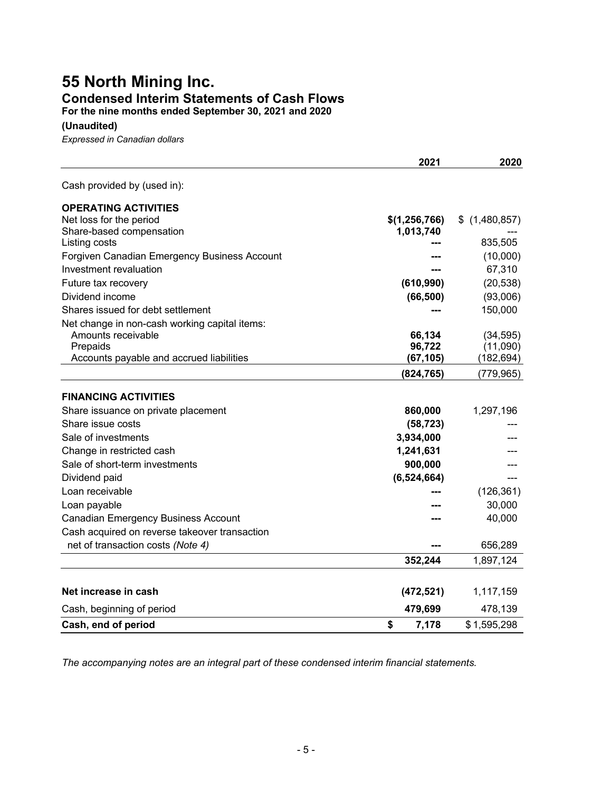## **55 North Mining Inc. Condensed Interim Statements of Cash Flows**

**For the nine months ended September 30, 2021 and 2020**

**(Unaudited)**

*Expressed in Canadian dollars*

|                                               | 2021          | 2020              |
|-----------------------------------------------|---------------|-------------------|
| Cash provided by (used in):                   |               |                   |
| <b>OPERATING ACTIVITIES</b>                   |               |                   |
| Net loss for the period                       | \$(1,256,766) | (1,480,857)<br>\$ |
| Share-based compensation                      | 1,013,740     |                   |
| Listing costs                                 |               | 835,505           |
| Forgiven Canadian Emergency Business Account  |               | (10,000)          |
| Investment revaluation                        |               | 67,310            |
| Future tax recovery                           | (610, 990)    | (20, 538)         |
| Dividend income                               | (66, 500)     | (93,006)          |
| Shares issued for debt settlement             |               | 150,000           |
| Net change in non-cash working capital items: |               |                   |
| Amounts receivable                            | 66,134        | (34, 595)         |
| Prepaids                                      | 96,722        | (11,090)          |
| Accounts payable and accrued liabilities      | (67, 105)     | (182, 694)        |
|                                               | (824, 765)    | (779, 965)        |
| <b>FINANCING ACTIVITIES</b>                   |               |                   |
| Share issuance on private placement           | 860,000       | 1,297,196         |
| Share issue costs                             | (58, 723)     |                   |
| Sale of investments                           | 3,934,000     |                   |
| Change in restricted cash                     | 1,241,631     |                   |
| Sale of short-term investments                | 900,000       |                   |
| Dividend paid                                 | (6,524,664)   |                   |
| Loan receivable                               |               | (126, 361)        |
| Loan payable                                  |               | 30,000            |
| <b>Canadian Emergency Business Account</b>    |               | 40,000            |
| Cash acquired on reverse takeover transaction |               |                   |
| net of transaction costs (Note 4)             |               | 656,289           |
|                                               | 352,244       | 1,897,124         |
|                                               |               |                   |
| Net increase in cash                          | (472, 521)    | 1,117,159         |
| Cash, beginning of period                     | 479,699       | 478,139           |
| Cash, end of period                           | \$<br>7,178   | \$1,595,298       |

*The accompanying notes are an integral part of these condensed interim financial statements.*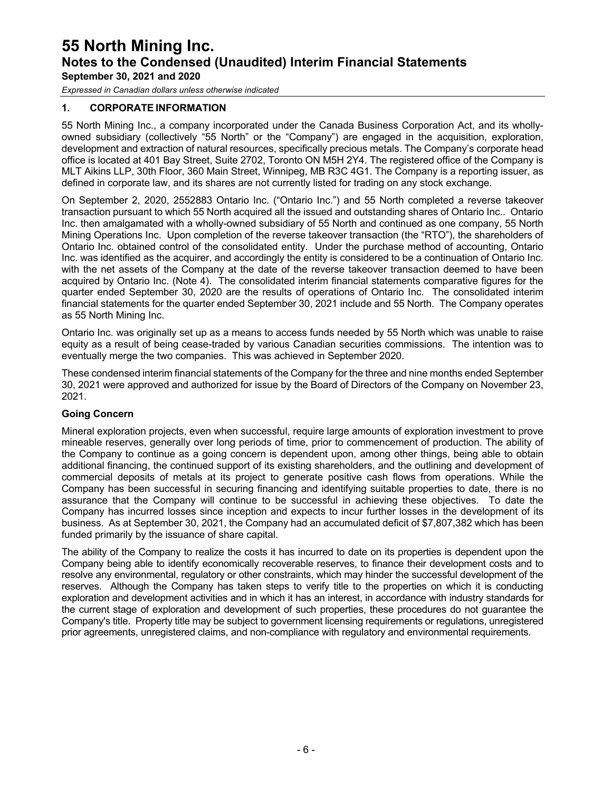*Expressed in Canadian dollars unless otherwise indicated*

#### **1. CORPORATE INFORMATION**

55 North Mining Inc., a company incorporated under the Canada Business Corporation Act, and its whollyowned subsidiary (collectively "55 North" or the "Company") are engaged in the acquisition, exploration, development and extraction of natural resources, specifically precious metals. The Company's corporate head office is located at 401 Bay Street, Suite 2702, Toronto ON M5H 2Y4. The registered office of the Company is MLT Aikins LLP, 30th Floor, 360 Main Street, Winnipeg, MB R3C 4G1. The Company is a reporting issuer, as defined in corporate law, and its shares are not currently listed for trading on any stock exchange.

On September 2, 2020, 2552883 Ontario Inc. ("Ontario Inc.") and 55 North completed a reverse takeover transaction pursuant to which 55 North acquired all the issued and outstanding shares of Ontario Inc.. Ontario Inc. then amalgamated with a wholly-owned subsidiary of 55 North and continued as one company, 55 North Mining Operations Inc. Upon completion of the reverse takeover transaction (the "RTO"), the shareholders of Ontario Inc. obtained control of the consolidated entity. Under the purchase method of accounting, Ontario Inc. was identified as the acquirer, and accordingly the entity is considered to be a continuation of Ontario Inc. with the net assets of the Company at the date of the reverse takeover transaction deemed to have been acquired by Ontario Inc. (Note 4). The consolidated interim financial statements comparative figures for the quarter ended September 30, 2020 are the results of operations of Ontario Inc. The consolidated interim financial statements for the quarter ended September 30, 2021 include and 55 North. The Company operates as 55 North Mining Inc.

Ontario Inc. was originally set up as a means to access funds needed by 55 North which was unable to raise equity as a result of being cease-traded by various Canadian securities commissions. The intention was to eventually merge the two companies. This was achieved in September 2020.

These condensed interim financial statements of the Company for the three and nine months ended September 30, 2021 were approved and authorized for issue by the Board of Directors of the Company on November 23, 2021.

#### **Going Concern**

Mineral exploration projects, even when successful, require large amounts of exploration investment to prove mineable reserves, generally over long periods of time, prior to commencement of production. The ability of the Company to continue as a going concern is dependent upon, among other things, being able to obtain additional financing, the continued support of its existing shareholders, and the outlining and development of commercial deposits of metals at its project to generate positive cash flows from operations. While the Company has been successful in securing financing and identifying suitable properties to date, there is no assurance that the Company will continue to be successful in achieving these objectives. To date the Company has incurred losses since inception and expects to incur further losses in the development of its business. As at September 30, 2021, the Company had an accumulated deficit of \$7,807,382 which has been funded primarily by the issuance of share capital.

The ability of the Company to realize the costs it has incurred to date on its properties is dependent upon the Company being able to identify economically recoverable reserves, to finance their development costs and to resolve any environmental, regulatory or other constraints, which may hinder the successful development of the reserves. Although the Company has taken steps to verify title to the properties on which it is conducting exploration and development activities and in which it has an interest, in accordance with industry standards for the current stage of exploration and development of such properties, these procedures do not guarantee the Company's title. Property title may be subject to government licensing requirements or regulations, unregistered prior agreements, unregistered claims, and non-compliance with regulatory and environmental requirements.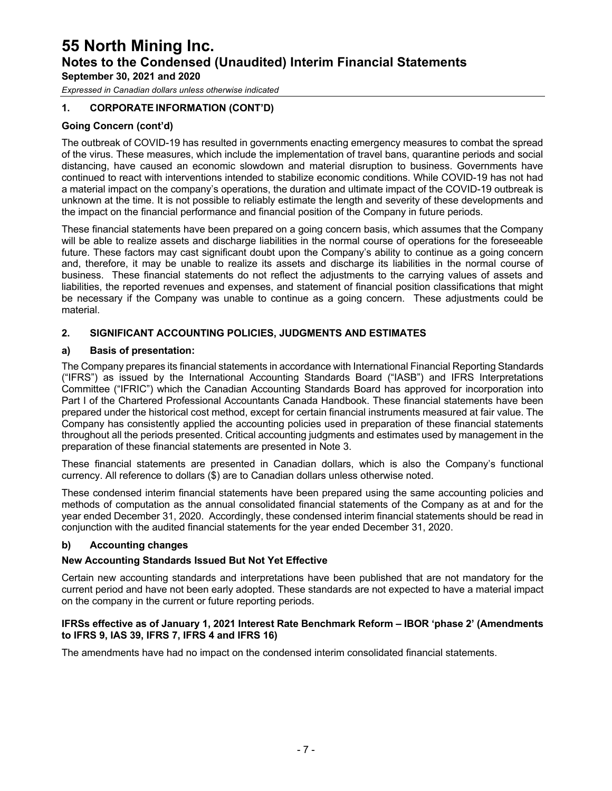*Expressed in Canadian dollars unless otherwise indicated*

#### **1. CORPORATE INFORMATION (CONT'D)**

#### **Going Concern (cont'd)**

The outbreak of COVID-19 has resulted in governments enacting emergency measures to combat the spread of the virus. These measures, which include the implementation of travel bans, quarantine periods and social distancing, have caused an economic slowdown and material disruption to business. Governments have continued to react with interventions intended to stabilize economic conditions. While COVID-19 has not had a material impact on the company's operations, the duration and ultimate impact of the COVID-19 outbreak is unknown at the time. It is not possible to reliably estimate the length and severity of these developments and the impact on the financial performance and financial position of the Company in future periods.

These financial statements have been prepared on a going concern basis, which assumes that the Company will be able to realize assets and discharge liabilities in the normal course of operations for the foreseeable future. These factors may cast significant doubt upon the Company's ability to continue as a going concern and, therefore, it may be unable to realize its assets and discharge its liabilities in the normal course of business. These financial statements do not reflect the adjustments to the carrying values of assets and liabilities, the reported revenues and expenses, and statement of financial position classifications that might be necessary if the Company was unable to continue as a going concern. These adjustments could be material.

#### **2. SIGNIFICANT ACCOUNTING POLICIES, JUDGMENTS AND ESTIMATES**

#### **a) Basis of presentation:**

The Company prepares its financial statements in accordance with International Financial Reporting Standards ("IFRS") as issued by the International Accounting Standards Board ("IASB") and IFRS Interpretations Committee ("IFRIC") which the Canadian Accounting Standards Board has approved for incorporation into Part I of the Chartered Professional Accountants Canada Handbook. These financial statements have been prepared under the historical cost method, except for certain financial instruments measured at fair value. The Company has consistently applied the accounting policies used in preparation of these financial statements throughout all the periods presented. Critical accounting judgments and estimates used by management in the preparation of these financial statements are presented in Note 3.

These financial statements are presented in Canadian dollars, which is also the Company's functional currency. All reference to dollars (\$) are to Canadian dollars unless otherwise noted.

These condensed interim financial statements have been prepared using the same accounting policies and methods of computation as the annual consolidated financial statements of the Company as at and for the year ended December 31, 2020. Accordingly, these condensed interim financial statements should be read in conjunction with the audited financial statements for the year ended December 31, 2020.

#### **b) Accounting changes**

#### **New Accounting Standards Issued But Not Yet Effective**

Certain new accounting standards and interpretations have been published that are not mandatory for the current period and have not been early adopted. These standards are not expected to have a material impact on the company in the current or future reporting periods.

#### **IFRSs effective as of January 1, 2021 Interest Rate Benchmark Reform – IBOR 'phase 2' (Amendments to IFRS 9, IAS 39, IFRS 7, IFRS 4 and IFRS 16)**

The amendments have had no impact on the condensed interim consolidated financial statements.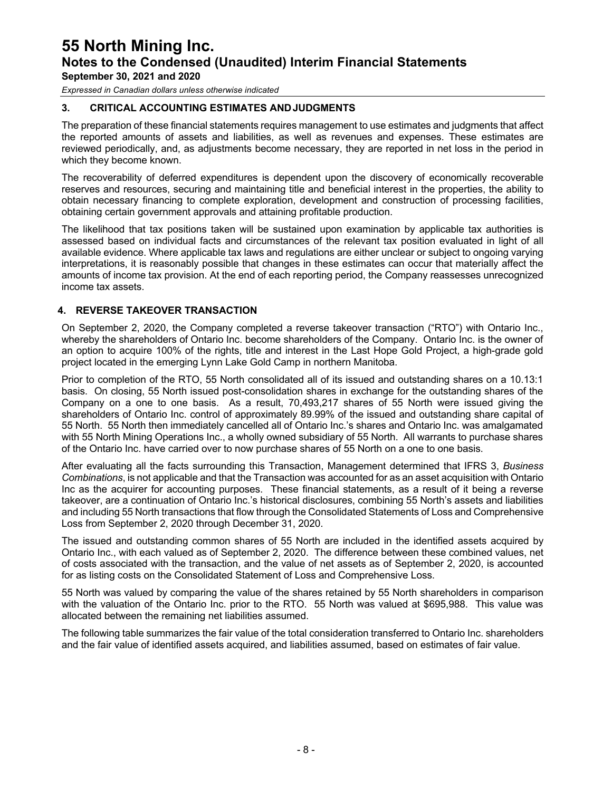*Expressed in Canadian dollars unless otherwise indicated*

#### **3. CRITICAL ACCOUNTING ESTIMATES ANDJUDGMENTS**

The preparation of these financial statements requires management to use estimates and judgments that affect the reported amounts of assets and liabilities, as well as revenues and expenses. These estimates are reviewed periodically, and, as adjustments become necessary, they are reported in net loss in the period in which they become known.

The recoverability of deferred expenditures is dependent upon the discovery of economically recoverable reserves and resources, securing and maintaining title and beneficial interest in the properties, the ability to obtain necessary financing to complete exploration, development and construction of processing facilities, obtaining certain government approvals and attaining profitable production.

The likelihood that tax positions taken will be sustained upon examination by applicable tax authorities is assessed based on individual facts and circumstances of the relevant tax position evaluated in light of all available evidence. Where applicable tax laws and regulations are either unclear or subject to ongoing varying interpretations, it is reasonably possible that changes in these estimates can occur that materially affect the amounts of income tax provision. At the end of each reporting period, the Company reassesses unrecognized income tax assets.

#### **4. REVERSE TAKEOVER TRANSACTION**

On September 2, 2020, the Company completed a reverse takeover transaction ("RTO") with Ontario Inc., whereby the shareholders of Ontario Inc. become shareholders of the Company. Ontario Inc. is the owner of an option to acquire 100% of the rights, title and interest in the Last Hope Gold Project, a high-grade gold project located in the emerging Lynn Lake Gold Camp in northern Manitoba.

Prior to completion of the RTO, 55 North consolidated all of its issued and outstanding shares on a 10.13:1 basis. On closing, 55 North issued post-consolidation shares in exchange for the outstanding shares of the Company on a one to one basis. As a result, 70,493,217 shares of 55 North were issued giving the shareholders of Ontario Inc. control of approximately 89.99% of the issued and outstanding share capital of 55 North. 55 North then immediately cancelled all of Ontario Inc.'s shares and Ontario Inc. was amalgamated with 55 North Mining Operations Inc., a wholly owned subsidiary of 55 North. All warrants to purchase shares of the Ontario Inc. have carried over to now purchase shares of 55 North on a one to one basis.

After evaluating all the facts surrounding this Transaction, Management determined that IFRS 3, *Business Combinations*, is not applicable and that the Transaction was accounted for as an asset acquisition with Ontario Inc as the acquirer for accounting purposes. These financial statements, as a result of it being a reverse takeover, are a continuation of Ontario Inc.'s historical disclosures, combining 55 North's assets and liabilities and including 55 North transactions that flow through the Consolidated Statements of Loss and Comprehensive Loss from September 2, 2020 through December 31, 2020.

The issued and outstanding common shares of 55 North are included in the identified assets acquired by Ontario Inc., with each valued as of September 2, 2020. The difference between these combined values, net of costs associated with the transaction, and the value of net assets as of September 2, 2020, is accounted for as listing costs on the Consolidated Statement of Loss and Comprehensive Loss.

55 North was valued by comparing the value of the shares retained by 55 North shareholders in comparison with the valuation of the Ontario Inc. prior to the RTO. 55 North was valued at \$695,988. This value was allocated between the remaining net liabilities assumed.

The following table summarizes the fair value of the total consideration transferred to Ontario Inc. shareholders and the fair value of identified assets acquired, and liabilities assumed, based on estimates of fair value.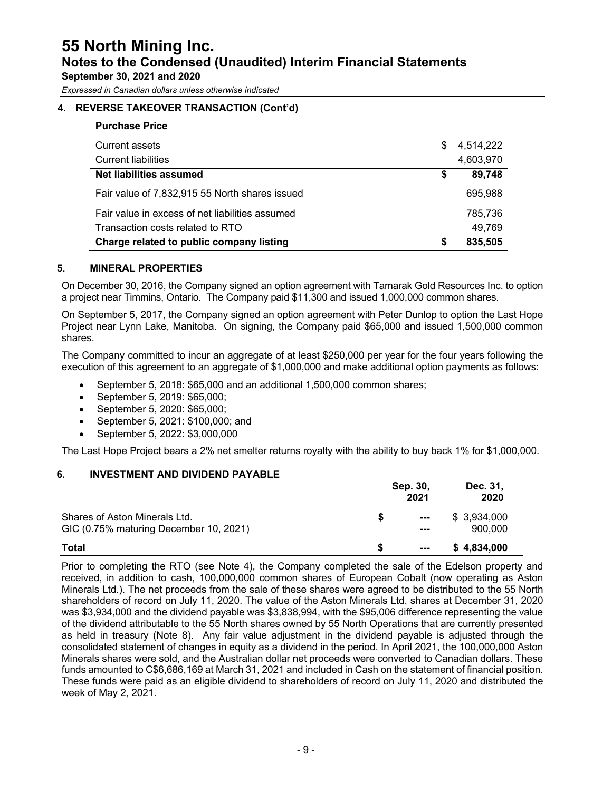*Expressed in Canadian dollars unless otherwise indicated*

#### **4. REVERSE TAKEOVER TRANSACTION (Cont'd)**

| <b>Purchase Price</b>                           |    |           |
|-------------------------------------------------|----|-----------|
| Current assets                                  | \$ | 4,514,222 |
| <b>Current liabilities</b>                      |    | 4,603,970 |
| Net liabilities assumed                         | \$ | 89,748    |
| Fair value of 7,832,915 55 North shares issued  |    | 695,988   |
| Fair value in excess of net liabilities assumed |    | 785,736   |
| Transaction costs related to RTO                |    | 49.769    |
| Charge related to public company listing        | S  | 835,505   |

#### **5. MINERAL PROPERTIES**

On December 30, 2016, the Company signed an option agreement with Tamarak Gold Resources Inc. to option a project near Timmins, Ontario. The Company paid \$11,300 and issued 1,000,000 common shares.

On September 5, 2017, the Company signed an option agreement with Peter Dunlop to option the Last Hope Project near Lynn Lake, Manitoba. On signing, the Company paid \$65,000 and issued 1,500,000 common shares.

The Company committed to incur an aggregate of at least \$250,000 per year for the four years following the execution of this agreement to an aggregate of \$1,000,000 and make additional option payments as follows:

- September 5, 2018: \$65,000 and an additional 1,500,000 common shares;
- September 5, 2019: \$65,000;
- September 5, 2020: \$65,000;
- September 5, 2021: \$100,000; and
- September 5, 2022: \$3,000,000

The Last Hope Project bears a 2% net smelter returns royalty with the ability to buy back 1% for \$1,000,000.

#### **6. INVESTMENT AND DIVIDEND PAYABLE**

|                                        | Sep. 30,<br>2021     | Dec. 31,<br>2020 |
|----------------------------------------|----------------------|------------------|
| Shares of Aston Minerals Ltd.          | $\sim$ $\sim$        | \$ 3,934,000     |
| GIC (0.75% maturing December 10, 2021) | ---                  | 900,000          |
| Total                                  | $\sim$ $\sim$ $\sim$ | \$4,834,000      |

Prior to completing the RTO (see Note 4), the Company completed the sale of the Edelson property and received, in addition to cash, 100,000,000 common shares of European Cobalt (now operating as Aston Minerals Ltd.). The net proceeds from the sale of these shares were agreed to be distributed to the 55 North shareholders of record on July 11, 2020. The value of the Aston Minerals Ltd. shares at December 31, 2020 was \$3,934,000 and the dividend payable was \$3,838,994, with the \$95,006 difference representing the value of the dividend attributable to the 55 North shares owned by 55 North Operations that are currently presented as held in treasury (Note 8). Any fair value adjustment in the dividend payable is adjusted through the consolidated statement of changes in equity as a dividend in the period. In April 2021, the 100,000,000 Aston Minerals shares were sold, and the Australian dollar net proceeds were converted to Canadian dollars. These funds amounted to C\$6,686,169 at March 31, 2021 and included in Cash on the statement of financial position. These funds were paid as an eligible dividend to shareholders of record on July 11, 2020 and distributed the week of May 2, 2021.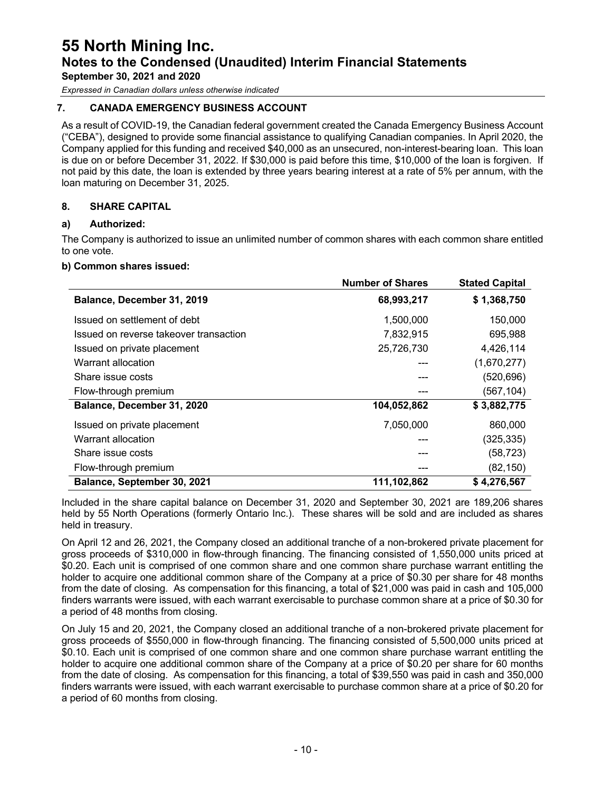## **55 North Mining Inc. Notes to the Condensed (Unaudited) Interim Financial Statements**

**September 30, 2021 and 2020**

*Expressed in Canadian dollars unless otherwise indicated*

#### **7. CANADA EMERGENCY BUSINESS ACCOUNT**

As a result of COVID-19, the Canadian federal government created the Canada Emergency Business Account ("CEBA"), designed to provide some financial assistance to qualifying Canadian companies. In April 2020, the Company applied for this funding and received \$40,000 as an unsecured, non-interest-bearing loan. This loan is due on or before December 31, 2022. If \$30,000 is paid before this time, \$10,000 of the loan is forgiven. If not paid by this date, the loan is extended by three years bearing interest at a rate of 5% per annum, with the loan maturing on December 31, 2025.

#### **8. SHARE CAPITAL**

#### **a) Authorized:**

The Company is authorized to issue an unlimited number of common shares with each common share entitled to one vote.

#### **b) Common shares issued:**

|                                        | <b>Number of Shares</b> | <b>Stated Capital</b> |
|----------------------------------------|-------------------------|-----------------------|
| Balance, December 31, 2019             | 68,993,217              | \$1,368,750           |
| Issued on settlement of debt           | 1,500,000               | 150,000               |
| Issued on reverse takeover transaction | 7,832,915               | 695,988               |
| Issued on private placement            | 25,726,730              | 4,426,114             |
| Warrant allocation                     |                         | (1,670,277)           |
| Share issue costs                      |                         | (520, 696)            |
| Flow-through premium                   |                         | (567, 104)            |
| Balance, December 31, 2020             | 104,052,862             | \$3,882,775           |
| Issued on private placement            | 7,050,000               | 860,000               |
| Warrant allocation                     |                         | (325, 335)            |
| Share issue costs                      |                         | (58, 723)             |
| Flow-through premium                   |                         | (82, 150)             |
| Balance, September 30, 2021            | 111,102,862             | \$4,276,567           |

Included in the share capital balance on December 31, 2020 and September 30, 2021 are 189,206 shares held by 55 North Operations (formerly Ontario Inc.). These shares will be sold and are included as shares held in treasury.

On April 12 and 26, 2021, the Company closed an additional tranche of a non-brokered private placement for gross proceeds of \$310,000 in flow-through financing. The financing consisted of 1,550,000 units priced at \$0.20. Each unit is comprised of one common share and one common share purchase warrant entitling the holder to acquire one additional common share of the Company at a price of \$0.30 per share for 48 months from the date of closing. As compensation for this financing, a total of \$21,000 was paid in cash and 105,000 finders warrants were issued, with each warrant exercisable to purchase common share at a price of \$0.30 for a period of 48 months from closing.

On July 15 and 20, 2021, the Company closed an additional tranche of a non-brokered private placement for gross proceeds of \$550,000 in flow-through financing. The financing consisted of 5,500,000 units priced at \$0.10. Each unit is comprised of one common share and one common share purchase warrant entitling the holder to acquire one additional common share of the Company at a price of \$0.20 per share for 60 months from the date of closing. As compensation for this financing, a total of \$39,550 was paid in cash and 350,000 finders warrants were issued, with each warrant exercisable to purchase common share at a price of \$0.20 for a period of 60 months from closing.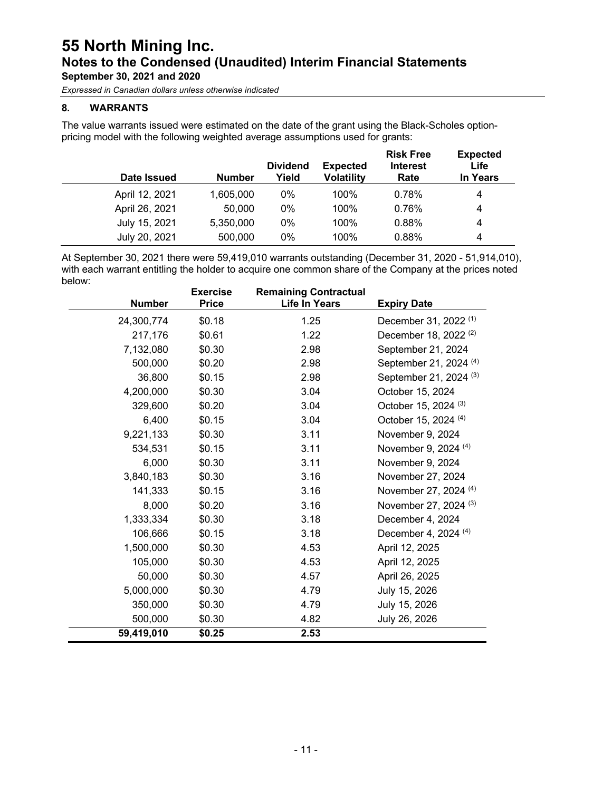*Expressed in Canadian dollars unless otherwise indicated*

#### **8. WARRANTS**

The value warrants issued were estimated on the date of the grant using the Black-Scholes optionpricing model with the following weighted average assumptions used for grants:

| Date Issued    | <b>Number</b> | <b>Dividend</b><br>Yield | <b>Expected</b><br><b>Volatility</b> | <b>Risk Free</b><br><b>Interest</b><br>Rate | <b>Expected</b><br>Life<br><b>In Years</b> |
|----------------|---------------|--------------------------|--------------------------------------|---------------------------------------------|--------------------------------------------|
| April 12, 2021 | 1,605,000     | $0\%$                    | 100%                                 | 0.78%                                       | 4                                          |
| April 26, 2021 | 50,000        | $0\%$                    | 100%                                 | 0.76%                                       | 4                                          |
| July 15, 2021  | 5,350,000     | $0\%$                    | 100%                                 | 0.88%                                       | 4                                          |
| July 20, 2021  | 500,000       | 0%                       | 100%                                 | 0.88%                                       | 4                                          |

At September 30, 2021 there were 59,419,010 warrants outstanding (December 31, 2020 - 51,914,010), with each warrant entitling the holder to acquire one common share of the Company at the prices noted below:

|               | <b>Exercise</b> | <b>Remaining Contractual</b> |                                   |
|---------------|-----------------|------------------------------|-----------------------------------|
| <b>Number</b> | <b>Price</b>    | <b>Life In Years</b>         | <b>Expiry Date</b>                |
| 24,300,774    | \$0.18          | 1.25                         | December 31, 2022 <sup>(1)</sup>  |
| 217,176       | \$0.61          | 1.22                         | December 18, 2022 <sup>(2)</sup>  |
| 7,132,080     | \$0.30          | 2.98                         | September 21, 2024                |
| 500,000       | \$0.20          | 2.98                         | September 21, 2024 <sup>(4)</sup> |
| 36,800        | \$0.15          | 2.98                         | September 21, 2024 <sup>(3)</sup> |
| 4,200,000     | \$0.30          | 3.04                         | October 15, 2024                  |
| 329,600       | \$0.20          | 3.04                         | October 15, 2024 <sup>(3)</sup>   |
| 6,400         | \$0.15          | 3.04                         | October 15, 2024 <sup>(4)</sup>   |
| 9,221,133     | \$0.30          | 3.11                         | November 9, 2024                  |
| 534,531       | \$0.15          | 3.11                         | November 9, 2024 (4)              |
| 6,000         | \$0.30          | 3.11                         | November 9, 2024                  |
| 3,840,183     | \$0.30          | 3.16                         | November 27, 2024                 |
| 141,333       | \$0.15          | 3.16                         | November 27, 2024 (4)             |
| 8,000         | \$0.20          | 3.16                         | November 27, 2024 <sup>(3)</sup>  |
| 1,333,334     | \$0.30          | 3.18                         | December 4, 2024                  |
| 106,666       | \$0.15          | 3.18                         | December 4, 2024 (4)              |
| 1,500,000     | \$0.30          | 4.53                         | April 12, 2025                    |
| 105,000       | \$0.30          | 4.53                         | April 12, 2025                    |
| 50,000        | \$0.30          | 4.57                         | April 26, 2025                    |
| 5,000,000     | \$0.30          | 4.79                         | July 15, 2026                     |
| 350,000       | \$0.30          | 4.79                         | July 15, 2026                     |
| 500,000       | \$0.30          | 4.82                         | July 26, 2026                     |
| 59,419,010    | \$0.25          | 2.53                         |                                   |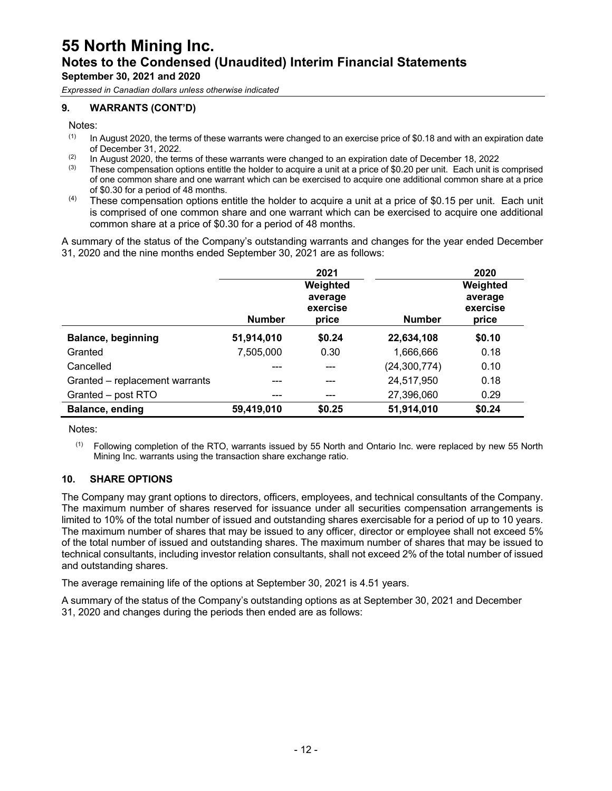*Expressed in Canadian dollars unless otherwise indicated*

#### **9. WARRANTS (CONT'D)**

Notes:

- $(1)$  In August 2020, the terms of these warrants were changed to an exercise price of \$0.18 and with an expiration date of December 31, 2022.
- (2) In August 2020, the terms of these warrants were changed to an expiration date of December 18, 2022<br>(3) These compensation options entitle the holder to acquire a unit at a price of \$0.20 per unit. Each unit is
- These compensation options entitle the holder to acquire a unit at a price of \$0.20 per unit. Each unit is comprised of one common share and one warrant which can be exercised to acquire one additional common share at a price of \$0.30 for a period of 48 months.
- $(4)$  These compensation options entitle the holder to acquire a unit at a price of \$0.15 per unit. Each unit is comprised of one common share and one warrant which can be exercised to acquire one additional common share at a price of \$0.30 for a period of 48 months.

A summary of the status of the Company's outstanding warrants and changes for the year ended December 31, 2020 and the nine months ended September 30, 2021 are as follows:

|                                |               | 2021                                     |                | 2020                                     |
|--------------------------------|---------------|------------------------------------------|----------------|------------------------------------------|
|                                | <b>Number</b> | Weighted<br>average<br>exercise<br>price | <b>Number</b>  | Weighted<br>average<br>exercise<br>price |
| <b>Balance, beginning</b>      | 51,914,010    | \$0.24                                   | 22,634,108     | \$0.10                                   |
| Granted                        | 7,505,000     | 0.30                                     | 1,666,666      | 0.18                                     |
| Cancelled                      |               |                                          | (24, 300, 774) | 0.10                                     |
| Granted - replacement warrants | ---           |                                          | 24,517,950     | 0.18                                     |
| Granted - post RTO             | ---           |                                          | 27,396,060     | 0.29                                     |
| Balance, ending                | 59,419,010    | \$0.25                                   | 51,914,010     | \$0.24                                   |

Notes:

(1) Following completion of the RTO, warrants issued by 55 North and Ontario Inc. were replaced by new 55 North Mining Inc. warrants using the transaction share exchange ratio.

#### **10. SHARE OPTIONS**

The Company may grant options to directors, officers, employees, and technical consultants of the Company. The maximum number of shares reserved for issuance under all securities compensation arrangements is limited to 10% of the total number of issued and outstanding shares exercisable for a period of up to 10 years. The maximum number of shares that may be issued to any officer, director or employee shall not exceed 5% of the total number of issued and outstanding shares. The maximum number of shares that may be issued to technical consultants, including investor relation consultants, shall not exceed 2% of the total number of issued and outstanding shares.

The average remaining life of the options at September 30, 2021 is 4.51 years.

A summary of the status of the Company's outstanding options as at September 30, 2021 and December 31, 2020 and changes during the periods then ended are as follows: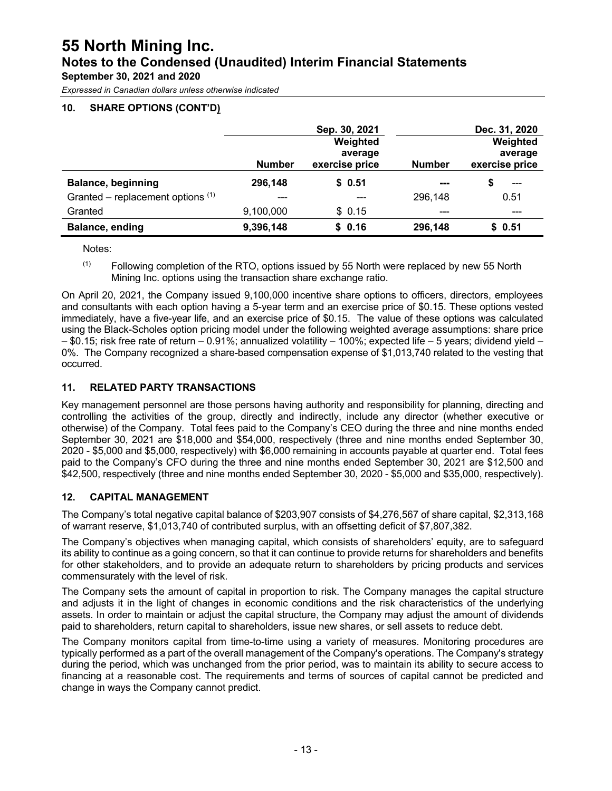## **55 North Mining Inc. Notes to the Condensed (Unaudited) Interim Financial Statements**

**September 30, 2021 and 2020**

*Expressed in Canadian dollars unless otherwise indicated*

#### **10. SHARE OPTIONS (CONT'D)**

|                                     |               | Sep. 30, 2021  |               | Dec. 31, 2020  |
|-------------------------------------|---------------|----------------|---------------|----------------|
|                                     |               | Weighted       |               | Weighted       |
|                                     |               | average        |               | average        |
|                                     | <b>Number</b> | exercise price | <b>Number</b> | exercise price |
| <b>Balance, beginning</b>           | 296,148       | \$0.51         | ---           | \$<br>$---$    |
| Granted – replacement options $(1)$ |               |                | 296,148       | 0.51           |
| Granted                             | 9,100,000     | \$0.15         |               | ---            |
| Balance, ending                     | 9,396,148     | \$0.16         | 296,148       | \$0.51         |

Notes:

 $(1)$  Following completion of the RTO, options issued by 55 North were replaced by new 55 North Mining Inc. options using the transaction share exchange ratio.

On April 20, 2021, the Company issued 9,100,000 incentive share options to officers, directors, employees and consultants with each option having a 5-year term and an exercise price of \$0.15. These options vested immediately, have a five-year life, and an exercise price of \$0.15. The value of these options was calculated using the Black-Scholes option pricing model under the following weighted average assumptions: share price – \$0.15; risk free rate of return – 0.91%; annualized volatility – 100%; expected life – 5 years; dividend yield – 0%. The Company recognized a share-based compensation expense of \$1,013,740 related to the vesting that occurred.

#### **11. RELATED PARTY TRANSACTIONS**

Key management personnel are those persons having authority and responsibility for planning, directing and controlling the activities of the group, directly and indirectly, include any director (whether executive or otherwise) of the Company. Total fees paid to the Company's CEO during the three and nine months ended September 30, 2021 are \$18,000 and \$54,000, respectively (three and nine months ended September 30, 2020 - \$5,000 and \$5,000, respectively) with \$6,000 remaining in accounts payable at quarter end. Total fees paid to the Company's CFO during the three and nine months ended September 30, 2021 are \$12,500 and \$42,500, respectively (three and nine months ended September 30, 2020 - \$5,000 and \$35,000, respectively).

#### **12. CAPITAL MANAGEMENT**

The Company's total negative capital balance of \$203,907 consists of \$4,276,567 of share capital, \$2,313,168 of warrant reserve, \$1,013,740 of contributed surplus, with an offsetting deficit of \$7,807,382.

The Company's objectives when managing capital, which consists of shareholders' equity, are to safeguard its ability to continue as a going concern, so that it can continue to provide returns for shareholders and benefits for other stakeholders, and to provide an adequate return to shareholders by pricing products and services commensurately with the level of risk.

The Company sets the amount of capital in proportion to risk. The Company manages the capital structure and adjusts it in the light of changes in economic conditions and the risk characteristics of the underlying assets. In order to maintain or adjust the capital structure, the Company may adjust the amount of dividends paid to shareholders, return capital to shareholders, issue new shares, or sell assets to reduce debt.

The Company monitors capital from time-to-time using a variety of measures. Monitoring procedures are typically performed as a part of the overall management of the Company's operations. The Company's strategy during the period, which was unchanged from the prior period, was to maintain its ability to secure access to financing at a reasonable cost. The requirements and terms of sources of capital cannot be predicted and change in ways the Company cannot predict.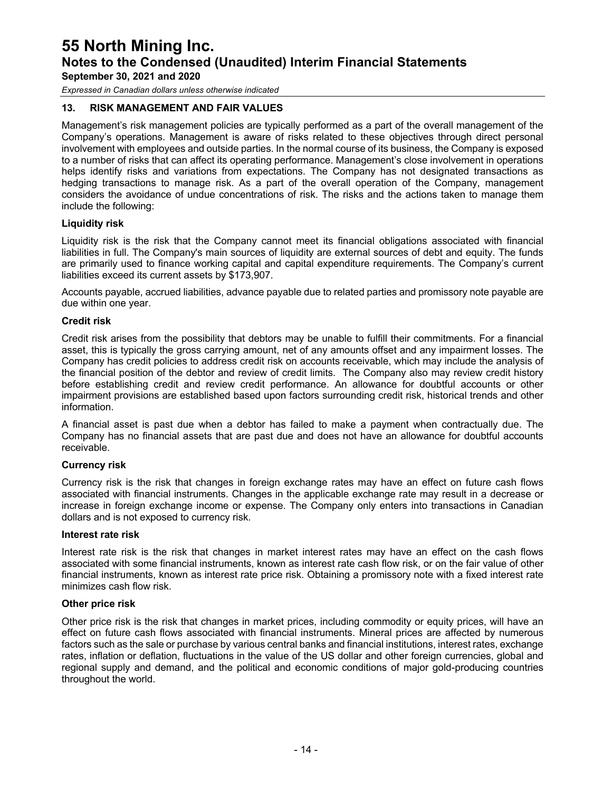*Expressed in Canadian dollars unless otherwise indicated*

#### **13. RISK MANAGEMENT AND FAIR VALUES**

Management's risk management policies are typically performed as a part of the overall management of the Company's operations. Management is aware of risks related to these objectives through direct personal involvement with employees and outside parties. In the normal course of its business, the Company is exposed to a number of risks that can affect its operating performance. Management's close involvement in operations helps identify risks and variations from expectations. The Company has not designated transactions as hedging transactions to manage risk. As a part of the overall operation of the Company, management considers the avoidance of undue concentrations of risk. The risks and the actions taken to manage them include the following:

#### **Liquidity risk**

Liquidity risk is the risk that the Company cannot meet its financial obligations associated with financial liabilities in full. The Company's main sources of liquidity are external sources of debt and equity. The funds are primarily used to finance working capital and capital expenditure requirements. The Company's current liabilities exceed its current assets by \$173,907.

Accounts payable, accrued liabilities, advance payable due to related parties and promissory note payable are due within one year.

#### **Credit risk**

Credit risk arises from the possibility that debtors may be unable to fulfill their commitments. For a financial asset, this is typically the gross carrying amount, net of any amounts offset and any impairment losses. The Company has credit policies to address credit risk on accounts receivable, which may include the analysis of the financial position of the debtor and review of credit limits. The Company also may review credit history before establishing credit and review credit performance. An allowance for doubtful accounts or other impairment provisions are established based upon factors surrounding credit risk, historical trends and other information.

A financial asset is past due when a debtor has failed to make a payment when contractually due. The Company has no financial assets that are past due and does not have an allowance for doubtful accounts receivable.

#### **Currency risk**

Currency risk is the risk that changes in foreign exchange rates may have an effect on future cash flows associated with financial instruments. Changes in the applicable exchange rate may result in a decrease or increase in foreign exchange income or expense. The Company only enters into transactions in Canadian dollars and is not exposed to currency risk.

#### **Interest rate risk**

Interest rate risk is the risk that changes in market interest rates may have an effect on the cash flows associated with some financial instruments, known as interest rate cash flow risk, or on the fair value of other financial instruments, known as interest rate price risk. Obtaining a promissory note with a fixed interest rate minimizes cash flow risk.

#### **Other price risk**

Other price risk is the risk that changes in market prices, including commodity or equity prices, will have an effect on future cash flows associated with financial instruments. Mineral prices are affected by numerous factors such as the sale or purchase by various central banks and financial institutions, interest rates, exchange rates, inflation or deflation, fluctuations in the value of the US dollar and other foreign currencies, global and regional supply and demand, and the political and economic conditions of major gold-producing countries throughout the world.